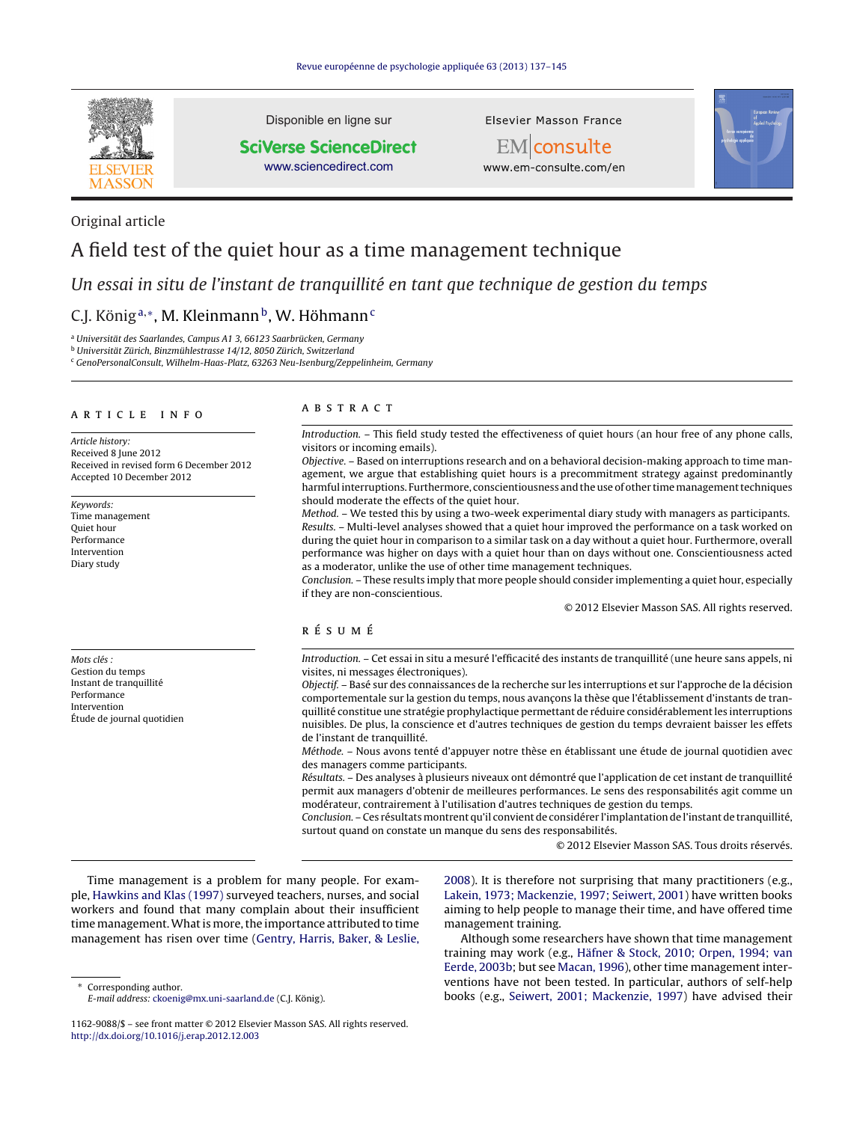

Original article

Disponible en ligne sur

**SciVerse ScienceDirect** 

[www.sciencedirect.com](http://www.sciencedirect.com/science/journal/11629088)

**Elsevier Masson France** 

EMconsulte www.em-consulte.com/en



# A field test of the quiet hour as a time management technique

Un essai in situ de l'instant de tranquillité en tant que technique de gestion du temps

# C.J. König<sup>a,∗</sup>, M. Kleinmann<sup>b</sup>, W. Höhmann<sup>c</sup>

<sup>a</sup> Universität des Saarlandes, Campus A1 3, 66123 Saarbrücken, Germany

<sup>b</sup> Universität Zürich, Binzmühlestrasse 14/12, 8050 Zürich, Switzerland

<sup>c</sup> GenoPersonalConsult, Wilhelm-Haas-Platz, 63263 Neu-Isenburg/Zeppelinheim, Germany

#### a r t i c l e i n f o

Article history: Received 8 June 2012 Received in revised form 6 December 2012 Accepted 10 December 2012

Keywords: Time management Quiet hour Performance Intervention Diary study

Mots clés : Gestion du temps Instant de tranquillité Performance Intervention Étude de journal quotidien

# A B S T R A C T

Introduction. – This field study tested the effectiveness of quiet hours (an hour free of any phone calls, visitors or incoming emails).

Objective. – Based on interruptions research and on a behavioral decision-making approach to time management, we argue that establishing quiet hours is a precommitment strategy against predominantly harmful interruptions. Furthermore, conscientiousness and the use of other time management techniques should moderate the effects of the quiet hour.

Method. – We tested this by using a two-week experimental diary study with managers as participants. Results. – Multi-level analyses showed that a quiet hour improved the performance on a task worked on during the quiet hour in comparison to a similar task on a day without a quiet hour. Furthermore, overall performance was higher on days with a quiet hour than on days without one. Conscientiousness acted as a moderator, unlike the use of other time management techniques.

Conclusion. – These results imply that more people should consider implementing a quiet hour, especially if they are non-conscientious.

© 2012 Elsevier Masson SAS. All rights reserved.

# r é s u m é

Introduction. – Cet essai in situ a mesuré l'efficacité des instants de tranquillité (une heure sans appels, ni visites, ni messages électroniques).

Objectif. – Basé sur des connaissances de la recherche sur les interruptions et sur l'approche de la décision comportementale sur la gestion du temps, nous avançons la thèse que l'établissement d'instants de tranquillité constitue une stratégie prophylactique permettant de réduire considérablementles interruptions nuisibles. De plus, la conscience et d'autres techniques de gestion du temps devraient baisser les effets de l'instant de tranquillité.

Méthode. – Nous avons tenté d'appuyer notre thèse en établissant une étude de journal quotidien avec des managers comme participants.

Résultats. – Des analyses à plusieurs niveaux ont démontré que l'application de cet instant de tranquillité permit aux managers d'obtenir de meilleures performances. Le sens des responsabilités agit comme un modérateur, contrairement à l'utilisation d'autres techniques de gestion du temps.

Conclusion. – Ces résultats montrent qu'il convient de considérer l'implantation de l'instant de tranquillité, surtout quand on constate un manque du sens des responsabilités.

© 2012 Elsevier Masson SAS. Tous droits réservés.

Time management is a problem for many people. For example, [Hawkins](#page-7-0) [and](#page-7-0) [Klas](#page-7-0) [\(1997\)](#page-7-0) surveyed teachers, nurses, and social workers and found that many complain about their insufficient time management.Whatis more,the importance attributed to time management has risen over time ([Gentry,](#page-7-0) [Harris,](#page-7-0) [Baker,](#page-7-0) [&](#page-7-0) [Leslie,](#page-7-0)

[2008\).](#page-7-0) It is therefore not surprising that many practitioners (e.g., [Lakein,](#page-7-0) [1973;](#page-7-0) [Mackenzie,](#page-7-0) [1997;](#page-7-0) [Seiwert,](#page-7-0) [2001\)](#page-7-0) have written books aiming to help people to manage their time, and have offered time management training.

Although some researchers have shown that time management training may work (e.g., [Häfner](#page-7-0) [&](#page-7-0) [Stock,](#page-7-0) [2010;](#page-7-0) [Orpen,](#page-7-0) [1994;](#page-7-0) [van](#page-7-0) [Eerde,](#page-7-0) [2003b;](#page-7-0) but see [Macan,](#page-7-0) [1996\),](#page-7-0) other time management interventions have not been tested. In particular, authors of self-help books (e.g., [Seiwert,](#page-8-0) [2001;](#page-8-0) [Mackenzie,](#page-8-0) [1997\)](#page-8-0) have advised their

Corresponding author.

E-mail address: [ckoenig@mx.uni-saarland.de](mailto:ckoenig@mx.uni-saarland.de) (C.J. König).

<sup>1162-9088/\$</sup> – see front matter © 2012 Elsevier Masson SAS. All rights reserved. [http://dx.doi.org/10.1016/j.erap.2012.12.003](dx.doi.org/10.1016/j.erap.2012.12.003)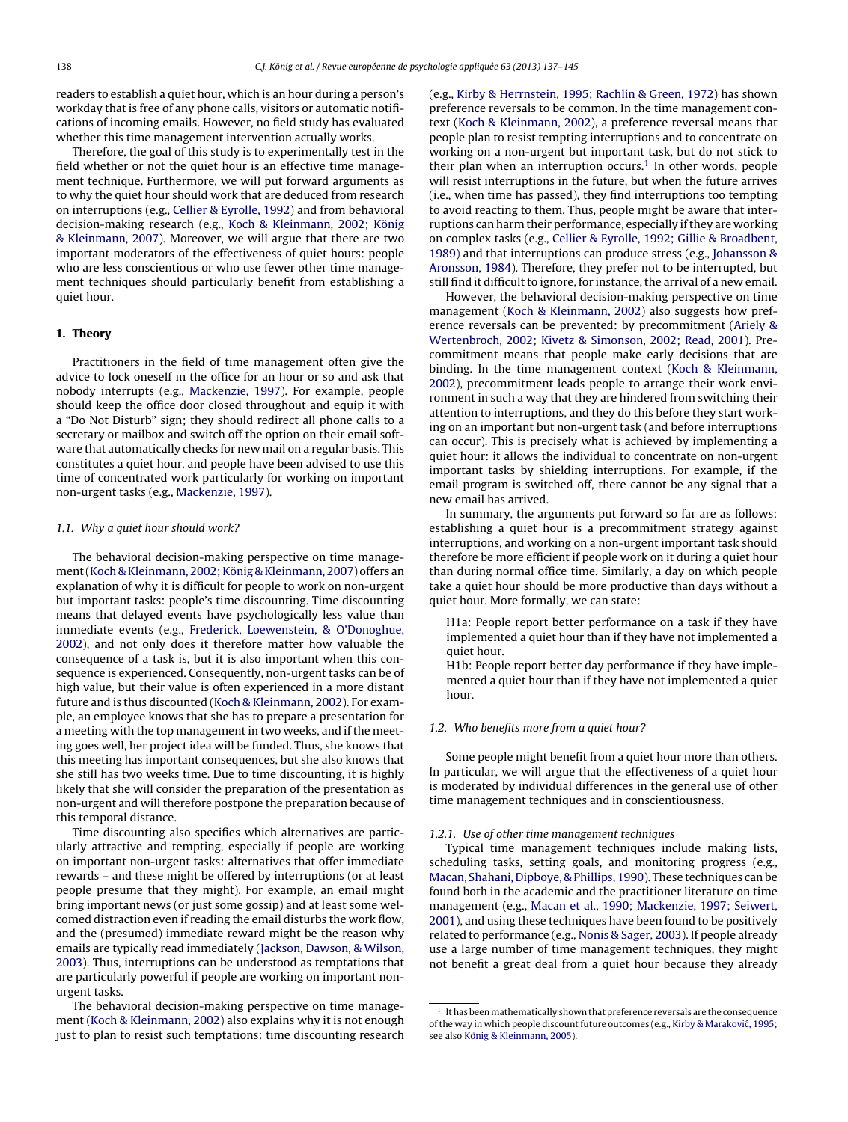readers to establish a quiet hour, which is an hour during a person's workday that is free of any phone calls, visitors or automatic notifications of incoming emails. However, no field study has evaluated whether this time management intervention actually works.

Therefore, the goal of this study is to experimentally test in the field whether or not the quiet hour is an effective time management technique. Furthermore, we will put forward arguments as to why the quiet hour should work that are deduced from research on interruptions (e.g., [Cellier](#page-7-0) [&](#page-7-0) [Eyrolle,](#page-7-0) [1992\)](#page-7-0) and from behavioral decision-making research (e.g., [Koch](#page-7-0) [&](#page-7-0) [Kleinmann,](#page-7-0) [2002;](#page-7-0) [König](#page-7-0) [&](#page-7-0) [Kleinmann,](#page-7-0) [2007\).](#page-7-0) Moreover, we will argue that there are two important moderators of the effectiveness of quiet hours: people who are less conscientious or who use fewer other time management techniques should particularly benefit from establishing a quiet hour.

### **1. Theory**

Practitioners in the field of time management often give the advice to lock oneself in the office for an hour or so and ask that nobody interrupts (e.g., [Mackenzie,](#page-7-0) [1997\).](#page-7-0) For example, people should keep the office door closed throughout and equip it with a "Do Not Disturb" sign; they should redirect all phone calls to a secretary or mailbox and switch off the option on their email software that automatically checks for new mail on a regular basis. This constitutes a quiet hour, and people have been advised to use this time of concentrated work particularly for working on important non-urgent tasks (e.g., [Mackenzie,](#page-7-0) [1997\).](#page-7-0)

#### 1.1. Why a quiet hour should work?

The behavioral decision-making perspective on time management[\(Koch](#page-7-0) [&](#page-7-0) [Kleinmann,](#page-7-0) [2002;König](#page-7-0) [&](#page-7-0) [Kleinmann,](#page-7-0) [2007\)](#page-7-0) offers an explanation of why it is difficult for people to work on non-urgent but important tasks: people's time discounting. Time discounting means that delayed events have psychologically less value than immediate events (e.g., [Frederick,](#page-7-0) [Loewenstein,](#page-7-0) [&](#page-7-0) [O'Donoghue,](#page-7-0) [2002\),](#page-7-0) and not only does it therefore matter how valuable the consequence of a task is, but it is also important when this consequence is experienced. Consequently, non-urgent tasks can be of high value, but their value is often experienced in a more distant future and is thus discounted [\(Koch](#page-7-0) [&](#page-7-0) [Kleinmann,](#page-7-0) [2002\).](#page-7-0) For example, an employee knows that she has to prepare a presentation for a meeting with the top management in two weeks, and if the meeting goes well, her project idea will be funded. Thus, she knows that this meeting has important consequences, but she also knows that she still has two weeks time. Due to time discounting, it is highly likely that she will consider the preparation of the presentation as non-urgent and will therefore postpone the preparation because of this temporal distance.

Time discounting also specifies which alternatives are particularly attractive and tempting, especially if people are working on important non-urgent tasks: alternatives that offer immediate rewards – and these might be offered by interruptions (or at least people presume that they might). For example, an email might bring important news (or just some gossip) and at least some welcomed distraction even if reading the email disturbs the work flow, and the (presumed) immediate reward might be the reason why emails are typically read immediately ([Jackson,](#page-7-0) [Dawson,](#page-7-0) [&](#page-7-0) [Wilson,](#page-7-0) [2003\).](#page-7-0) Thus, interruptions can be understood as temptations that are particularly powerful if people are working on important nonurgent tasks.

The behavioral decision-making perspective on time management [\(Koch](#page-7-0) [&](#page-7-0) [Kleinmann,](#page-7-0) [2002\)](#page-7-0) also explains why it is not enough just to plan to resist such temptations: time discounting research (e.g., [Kirby](#page-7-0) [&](#page-7-0) [Herrnstein,](#page-7-0) [1995;](#page-7-0) [Rachlin](#page-7-0) [&](#page-7-0) [Green,](#page-7-0) [1972\)](#page-7-0) has shown preference reversals to be common. In the time management context [\(Koch](#page-7-0) [&](#page-7-0) [Kleinmann,](#page-7-0) [2002\),](#page-7-0) a preference reversal means that people plan to resist tempting interruptions and to concentrate on working on a non-urgent but important task, but do not stick to their plan when an interruption occurs.<sup>1</sup> In other words, people will resist interruptions in the future, but when the future arrives (i.e., when time has passed), they find interruptions too tempting to avoid reacting to them. Thus, people might be aware that interruptions can harm their performance, especially if they are working on complex tasks (e.g., [Cellier](#page-7-0) [&](#page-7-0) [Eyrolle,](#page-7-0) [1992;](#page-7-0) [Gillie](#page-7-0) [&](#page-7-0) [Broadbent,](#page-7-0) [1989\)](#page-7-0) and that interruptions can produce stress (e.g., [Johansson](#page-7-0) [&](#page-7-0) [Aronsson,](#page-7-0) [1984\).](#page-7-0) Therefore, they prefer not to be interrupted, but still find it difficult to ignore, for instance, the arrival of a new email.

However, the behavioral decision-making perspective on time management ([Koch](#page-7-0) [&](#page-7-0) [Kleinmann,](#page-7-0) [2002\)](#page-7-0) also suggests how preference reversals can be prevented: by precommitment [\(Ariely](#page-7-0) [&](#page-7-0) [Wertenbroch,](#page-7-0) [2002;](#page-7-0) [Kivetz](#page-7-0) [&](#page-7-0) [Simonson,](#page-7-0) [2002;](#page-7-0) [Read,](#page-7-0) [2001\).](#page-7-0) Precommitment means that people make early decisions that are binding. In the time management context [\(Koch](#page-7-0) [&](#page-7-0) [Kleinmann,](#page-7-0) [2002\),](#page-7-0) precommitment leads people to arrange their work environment in such a way that they are hindered from switching their attention to interruptions, and they do this before they start working on an important but non-urgent task (and before interruptions can occur). This is precisely what is achieved by implementing a quiet hour: it allows the individual to concentrate on non-urgent important tasks by shielding interruptions. For example, if the email program is switched off, there cannot be any signal that a new email has arrived.

In summary, the arguments put forward so far are as follows: establishing a quiet hour is a precommitment strategy against interruptions, and working on a non-urgent important task should therefore be more efficient if people work on it during a quiet hour than during normal office time. Similarly, a day on which people take a quiet hour should be more productive than days without a quiet hour. More formally, we can state:

H1a: People report better performance on a task if they have implemented a quiet hour than if they have not implemented a quiet hour.

H1b: People report better day performance if they have implemented a quiet hour than if they have not implemented a quiet hour.

# 1.2. Who benefits more from a quiet hour?

Some people might benefit from a quiet hour more than others. In particular, we will argue that the effectiveness of a quiet hour is moderated by individual differences in the general use of other time management techniques and in conscientiousness.

#### 1.2.1. Use of other time management techniques

Typical time management techniques include making lists, scheduling tasks, setting goals, and monitoring progress (e.g., [Macan,](#page-7-0) [Shahani,](#page-7-0) [Dipboye,](#page-7-0) [&](#page-7-0) [Phillips,](#page-7-0) [1990\).](#page-7-0) These techniques can be found both in the academic and the practitioner literature on time management (e.g., [Macan](#page-7-0) et [al.,](#page-7-0) [1990;](#page-7-0) [Mackenzie,](#page-7-0) [1997;](#page-7-0) [Seiwert,](#page-7-0) [2001\),](#page-7-0) and using these techniques have been found to be positively related to performance (e.g., [Nonis](#page-7-0) [&](#page-7-0) [Sager,](#page-7-0) [2003\).](#page-7-0) If people already use a large number of time management techniques, they might not benefit a great deal from a quiet hour because they already

 $^{\rm 1}$  It has been mathematically shown that preference reversals are the consequence of the way in which people discount future outcomes (e.g., [Kirby](#page-7-0) [&](#page-7-0) Maraković, [1995;](#page-7-0) see also [König](#page-7-0) [&](#page-7-0) [Kleinmann,](#page-7-0) [2005\).](#page-7-0)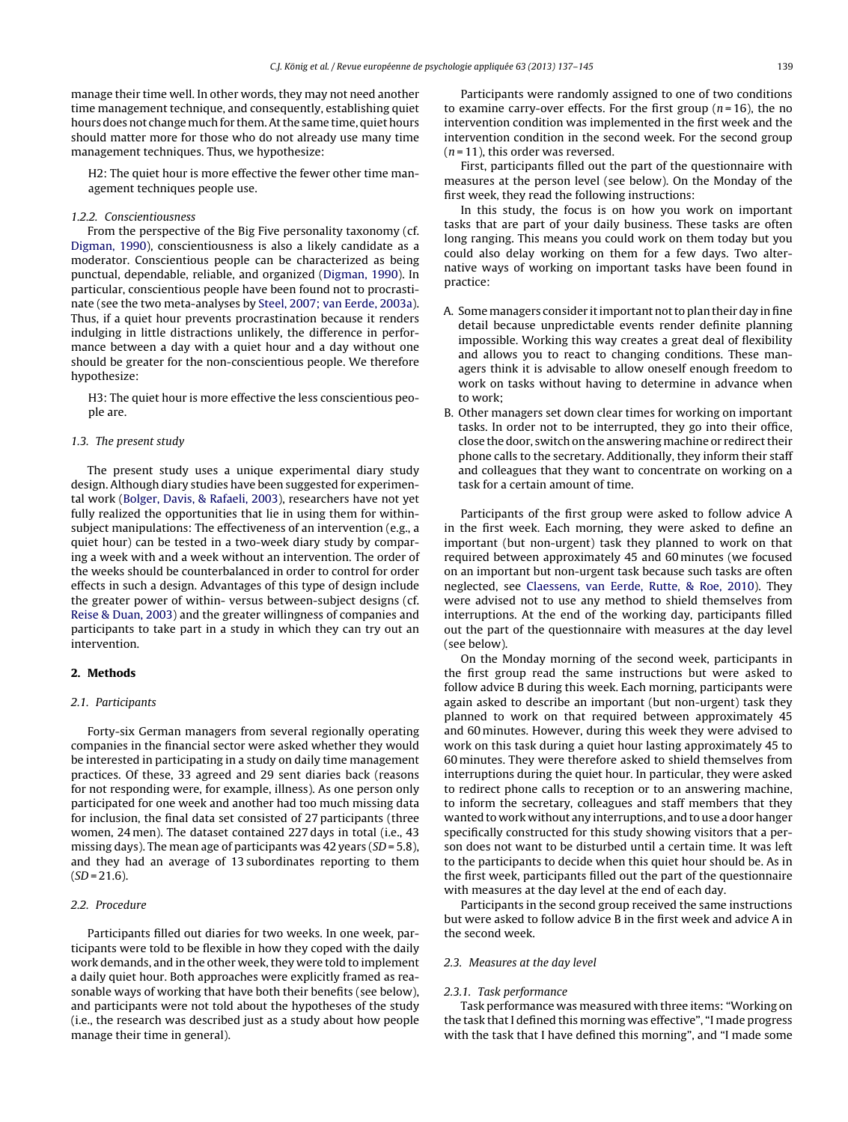manage their time well. In other words, they may not need another time management technique, and consequently, establishing quiet hours does not change much for them. At the same time, quiet hours should matter more for those who do not already use many time management techniques. Thus, we hypothesize:

H2: The quiet hour is more effective the fewer other time management techniques people use.

#### 1.2.2. Conscientiousness

From the perspective of the Big Five personality taxonomy (cf. [Digman,](#page-7-0) [1990\),](#page-7-0) conscientiousness is also a likely candidate as a moderator. Conscientious people can be characterized as being punctual, dependable, reliable, and organized ([Digman,](#page-7-0) [1990\).](#page-7-0) In particular, conscientious people have been found not to procrastinate (see the two meta-analyses by [Steel,](#page-8-0) [2007;](#page-8-0) [van](#page-8-0) [Eerde,](#page-8-0) [2003a\).](#page-8-0) Thus, if a quiet hour prevents procrastination because it renders indulging in little distractions unlikely, the difference in performance between a day with a quiet hour and a day without one should be greater for the non-conscientious people. We therefore hypothesize:

H3: The quiet hour is more effective the less conscientious people are.

# 1.3. The present study

The present study uses a unique experimental diary study design. Although diary studies have been suggested for experimental work [\(Bolger,](#page-7-0) [Davis,](#page-7-0) [&](#page-7-0) [Rafaeli,](#page-7-0) [2003\),](#page-7-0) researchers have not yet fully realized the opportunities that lie in using them for withinsubject manipulations: The effectiveness of an intervention (e.g., a quiet hour) can be tested in a two-week diary study by comparing a week with and a week without an intervention. The order of the weeks should be counterbalanced in order to control for order effects in such a design. Advantages of this type of design include the greater power of within- versus between-subject designs (cf. [Reise](#page-7-0) [&](#page-7-0) [Duan,](#page-7-0) [2003\)](#page-7-0) and the greater willingness of companies and participants to take part in a study in which they can try out an intervention.

# **2. Methods**

# 2.1. Participants

Forty-six German managers from several regionally operating companies in the financial sector were asked whether they would be interested in participating in a study on daily time management practices. Of these, 33 agreed and 29 sent diaries back (reasons for not responding were, for example, illness). As one person only participated for one week and another had too much missing data for inclusion, the final data set consisted of 27 participants (three women, 24 men). The dataset contained 227 days in total (i.e., 43 missing days). The mean age of participants was  $42$  years ( $SD = 5.8$ ), and they had an average of 13 subordinates reporting to them  $(SD = 21.6)$ .

# 2.2. Procedure

Participants filled out diaries for two weeks. In one week, participants were told to be flexible in how they coped with the daily work demands, and in the other week, they were told to implement a daily quiet hour. Both approaches were explicitly framed as reasonable ways of working that have both their benefits (see below), and participants were not told about the hypotheses of the study (i.e., the research was described just as a study about how people manage their time in general).

Participants were randomly assigned to one of two conditions to examine carry-over effects. For the first group  $(n=16)$ , the no intervention condition was implemented in the first week and the intervention condition in the second week. For the second group  $(n = 11)$ , this order was reversed.

First, participants filled out the part of the questionnaire with measures at the person level (see below). On the Monday of the first week, they read the following instructions:

In this study, the focus is on how you work on important tasks that are part of your daily business. These tasks are often long ranging. This means you could work on them today but you could also delay working on them for a few days. Two alternative ways of working on important tasks have been found in practice:

- A. Some managers consider it important not to plan their day in fine detail because unpredictable events render definite planning impossible. Working this way creates a great deal of flexibility and allows you to react to changing conditions. These managers think it is advisable to allow oneself enough freedom to work on tasks without having to determine in advance when to work;
- B. Other managers set down clear times for working on important tasks. In order not to be interrupted, they go into their office, close the door, switch on the answering machine or redirect their phone calls to the secretary. Additionally, they inform their staff and colleagues that they want to concentrate on working on a task for a certain amount of time.

Participants of the first group were asked to follow advice A in the first week. Each morning, they were asked to define an important (but non-urgent) task they planned to work on that required between approximately 45 and 60 minutes (we focused on an important but non-urgent task because such tasks are often neglected, see [Claessens,](#page-7-0) [van](#page-7-0) [Eerde,](#page-7-0) [Rutte,](#page-7-0) [&](#page-7-0) [Roe,](#page-7-0) [2010\).](#page-7-0) They were advised not to use any method to shield themselves from interruptions. At the end of the working day, participants filled out the part of the questionnaire with measures at the day level (see below).

On the Monday morning of the second week, participants in the first group read the same instructions but were asked to follow advice B during this week. Each morning, participants were again asked to describe an important (but non-urgent) task they planned to work on that required between approximately 45 and 60 minutes. However, during this week they were advised to work on this task during a quiet hour lasting approximately 45 to 60 minutes. They were therefore asked to shield themselves from interruptions during the quiet hour. In particular, they were asked to redirect phone calls to reception or to an answering machine, to inform the secretary, colleagues and staff members that they wanted to work without any interruptions, and to use a door hanger specifically constructed for this study showing visitors that a person does not want to be disturbed until a certain time. It was left to the participants to decide when this quiet hour should be. As in the first week, participants filled out the part of the questionnaire with measures at the day level at the end of each day.

Participants in the second group received the same instructions but were asked to follow advice B in the first week and advice A in the second week.

#### 2.3. Measures at the day level

#### 2.3.1. Task performance

Task performance was measured with three items: "Working on the task that I defined this morning was effective", "I made progress with the task that I have defined this morning", and "I made some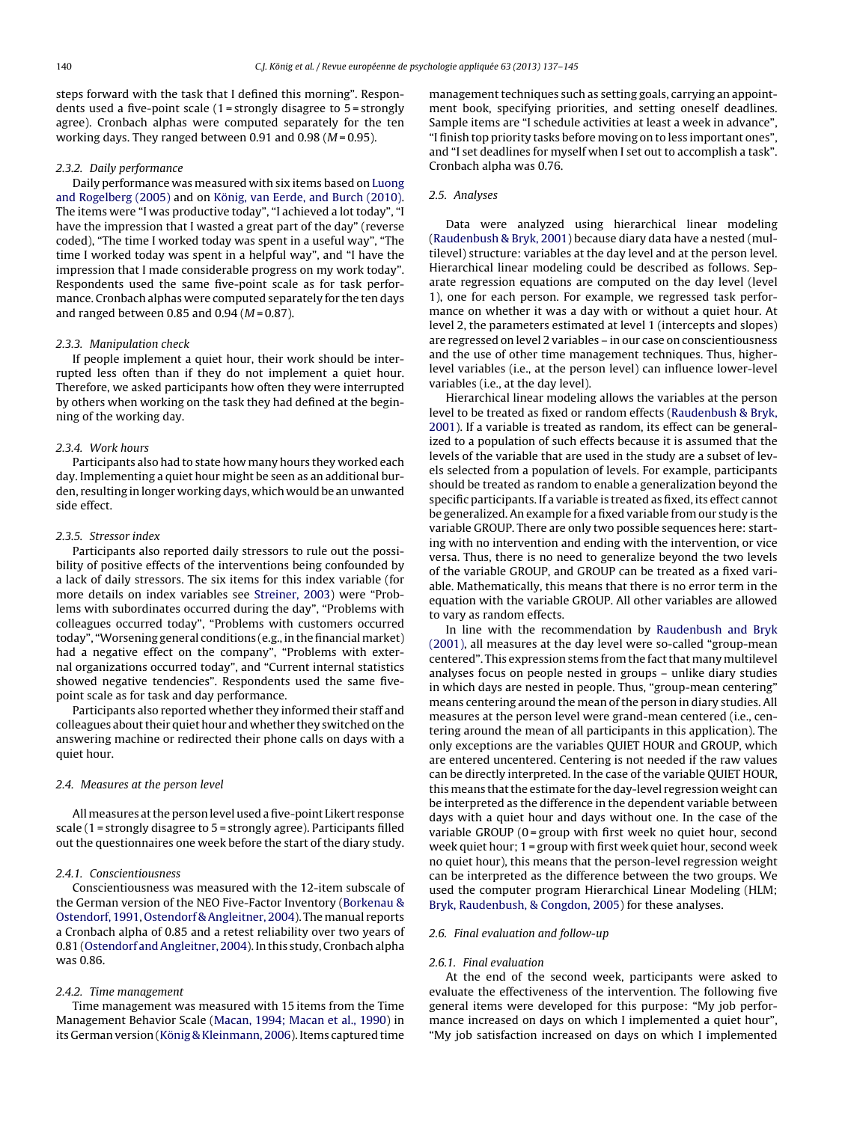steps forward with the task that I defined this morning". Respondents used a five-point scale (1 = strongly disagree to 5 = strongly agree). Cronbach alphas were computed separately for the ten working days. They ranged between 0.91 and 0.98 ( $M = 0.95$ ).

# 2.3.2. Daily performance

Daily performance was measured with six items based on [Luong](#page-7-0) [and](#page-7-0) [Rogelberg](#page-7-0) [\(2005\)](#page-7-0) and on [König,](#page-7-0) [van](#page-7-0) [Eerde,](#page-7-0) [and](#page-7-0) [Burch](#page-7-0) [\(2010\).](#page-7-0) The items were "I was productive today", "I achieved a lot today", "I have the impression that I wasted a great part of the day" (reverse coded), "The time I worked today was spent in a useful way", "The time I worked today was spent in a helpful way", and "I have the impression that I made considerable progress on my work today". Respondents used the same five-point scale as for task performance. Cronbach alphas were computed separately for the ten days and ranged between 0.85 and 0.94 ( $M = 0.87$ ).

#### 2.3.3. Manipulation check

If people implement a quiet hour, their work should be interrupted less often than if they do not implement a quiet hour. Therefore, we asked participants how often they were interrupted by others when working on the task they had defined at the beginning of the working day.

# 2.3.4. Work hours

Participants also had to state how many hours they worked each day. Implementing a quiet hour might be seen as an additional burden, resulting in longer working days, which would be an unwanted side effect.

### 2.3.5. Stressor index

Participants also reported daily stressors to rule out the possibility of positive effects of the interventions being confounded by a lack of daily stressors. The six items for this index variable (for more details on index variables see [Streiner,](#page-8-0) [2003\)](#page-8-0) were "Problems with subordinates occurred during the day", "Problems with colleagues occurred today", "Problems with customers occurred today", "Worsening general conditions (e.g., in the financial market) had a negative effect on the company", "Problems with external organizations occurred today", and "Current internal statistics showed negative tendencies". Respondents used the same fivepoint scale as for task and day performance.

Participants also reported whether they informed their staff and colleagues about their quiet hour and whether they switched on the answering machine or redirected their phone calls on days with a quiet hour.

#### 2.4. Measures at the person level

All measures at the person level used a five-point Likert response scale (1 = strongly disagree to 5 = strongly agree). Participants filled out the questionnaires one week before the start of the diary study.

#### 2.4.1. Conscientiousness

Conscientiousness was measured with the 12-item subscale of the German version of the NEO Five-Factor Inventory [\(Borkenau](#page-7-0) [&](#page-7-0) [Ostendorf,](#page-7-0) [1991,](#page-7-0) [Ostendorf](#page-7-0) [&](#page-7-0) [Angleitner,](#page-7-0) [2004\).](#page-7-0) The manual reports a Cronbach alpha of 0.85 and a retest reliability over two years of 0.81 ([Ostendorf](#page-7-0) and Angleitner, [2004\).](#page-7-0) In this study, Cronbach alpha was 0.86.

# 2.4.2. Time management

Time management was measured with 15 items from the Time Management Behavior Scale [\(Macan,](#page-7-0) [1994;](#page-7-0) [Macan](#page-7-0) et [al.,](#page-7-0) [1990\)](#page-7-0) in its German version ([König](#page-7-0) [&](#page-7-0) [Kleinmann,](#page-7-0) [2006\).](#page-7-0) Items captured time management techniques such as setting goals, carrying an appointment book, specifying priorities, and setting oneself deadlines. Sample items are "I schedule activities at least a week in advance", "I finish top priority tasks before moving on to less important ones", and "I set deadlines for myself when I set out to accomplish a task". Cronbach alpha was 0.76.

# 2.5. Analyses

Data were analyzed using hierarchical linear modeling [\(Raudenbush](#page-7-0) [&](#page-7-0) [Bryk,](#page-7-0) [2001\)](#page-7-0) because diary data have a nested (multilevel) structure: variables at the day level and at the person level. Hierarchical linear modeling could be described as follows. Separate regression equations are computed on the day level (level 1), one for each person. For example, we regressed task performance on whether it was a day with or without a quiet hour. At level 2, the parameters estimated at level 1 (intercepts and slopes) are regressed on level 2 variables – in our case on conscientiousness and the use of other time management techniques. Thus, higherlevel variables (i.e., at the person level) can influence lower-level variables (i.e., at the day level).

Hierarchical linear modeling allows the variables at the person level to be treated as fixed or random effects [\(Raudenbush](#page-7-0) [&](#page-7-0) [Bryk,](#page-7-0) [2001\).](#page-7-0) If a variable is treated as random, its effect can be generalized to a population of such effects because it is assumed that the levels of the variable that are used in the study are a subset of levels selected from a population of levels. For example, participants should be treated as random to enable a generalization beyond the specific participants. If a variable is treated as fixed, its effect cannot be generalized. An example for a fixed variable from our study is the variable GROUP. There are only two possible sequences here: starting with no intervention and ending with the intervention, or vice versa. Thus, there is no need to generalize beyond the two levels of the variable GROUP, and GROUP can be treated as a fixed variable. Mathematically, this means that there is no error term in the equation with the variable GROUP. All other variables are allowed to vary as random effects.

In line with the recommendation by [Raudenbush](#page-7-0) [and](#page-7-0) [Bryk](#page-7-0) [\(2001\),](#page-7-0) all measures at the day level were so-called "group-mean centered". This expression stems from the fact that many multilevel analyses focus on people nested in groups – unlike diary studies in which days are nested in people. Thus, "group-mean centering" means centering around the mean of the person in diary studies. All measures at the person level were grand-mean centered (i.e., centering around the mean of all participants in this application). The only exceptions are the variables QUIET HOUR and GROUP, which are entered uncentered. Centering is not needed if the raw values can be directly interpreted. In the case of the variable QUIET HOUR, this means that the estimate for the day-level regression weight can be interpreted as the difference in the dependent variable between days with a quiet hour and days without one. In the case of the variable GROUP  $(0 = \text{group with first week no quiet hour, second})$ week quiet hour; 1 = group with first week quiet hour, second week no quiet hour), this means that the person-level regression weight can be interpreted as the difference between the two groups. We used the computer program Hierarchical Linear Modeling (HLM; [Bryk,](#page-7-0) [Raudenbush,](#page-7-0) [&](#page-7-0) [Congdon,](#page-7-0) [2005\)](#page-7-0) for these analyses.

#### 2.6. Final evaluation and follow-up

#### 2.6.1. Final evaluation

At the end of the second week, participants were asked to evaluate the effectiveness of the intervention. The following five general items were developed for this purpose: "My job performance increased on days on which I implemented a quiet hour", "My job satisfaction increased on days on which I implemented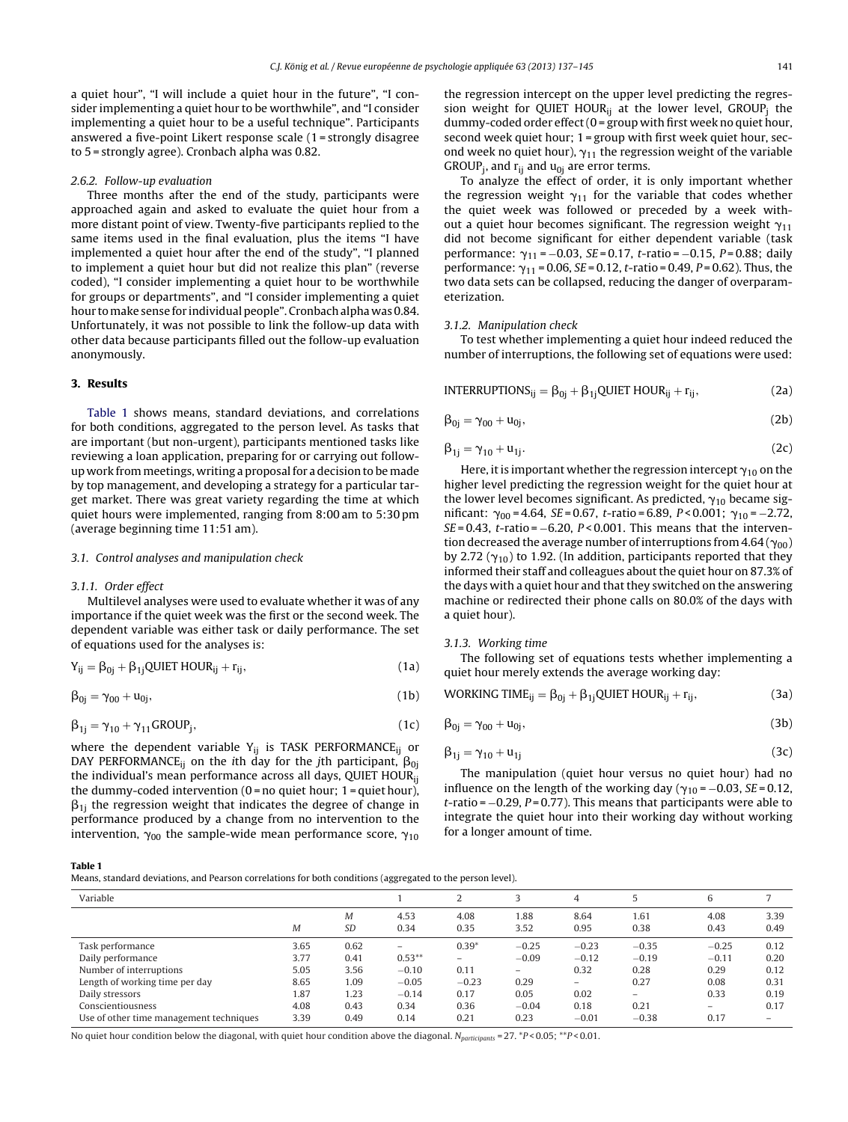a quiet hour", "I will include a quiet hour in the future", "I consider implementing a quiet hour to be worthwhile", and "I consider implementing a quiet hour to be a useful technique". Participants answered a five-point Likert response scale (1 = strongly disagree to 5 = strongly agree). Cronbach alpha was 0.82.

# 2.6.2. Follow-up evaluation

Three months after the end of the study, participants were approached again and asked to evaluate the quiet hour from a more distant point of view. Twenty-five participants replied to the same items used in the final evaluation, plus the items "I have implemented a quiet hour after the end of the study", "I planned to implement a quiet hour but did not realize this plan" (reverse coded), "I consider implementing a quiet hour to be worthwhile for groups or departments", and "I consider implementing a quiet hour to make sense for individual people". Cronbach alpha was 0.84. Unfortunately, it was not possible to link the follow-up data with other data because participants filled out the follow-up evaluation anonymously.

# **3. Results**

Table 1 shows means, standard deviations, and correlations for both conditions, aggregated to the person level. As tasks that are important (but non-urgent), participants mentioned tasks like reviewing a loan application, preparing for or carrying out followup work from meetings, writing a proposalfor a decision to be made by top management, and developing a strategy for a particular target market. There was great variety regarding the time at which quiet hours were implemented, ranging from 8:00 am to 5:30 pm (average beginning time 11:51 am).

#### 3.1. Control analyses and manipulation check

#### 3.1.1. Order effect

Multilevel analyses were used to evaluate whether it was of any importance if the quiet week was the first or the second week. The dependent variable was either task or daily performance. The set of equations used for the analyses is:

$$
Y_{ij} = \beta_{0j} + \beta_{1j} \text{QUIET HOUR}_{ij} + r_{ij},\tag{1a}
$$

$$
\beta_{0j} = \gamma_{00} + u_{0j},\tag{1b}
$$

$$
\beta_{1j} = \gamma_{10} + \gamma_{11} \text{GROUP}_j,\tag{1c}
$$

where the dependent variable  $Y_{ij}$  is TASK PERFORMANCE $_{ij}$  or DAY PERFORMANCE<sub>ij</sub> on the ith day for the jth participant,  $\beta_{0j}$ the individual's mean performance across all days, QUIET HOUR<sub>ii</sub> the dummy-coded intervention  $(0 = no$  quiet hour;  $1 = qu$ iet hour),  $\beta_{1j}$  the regression weight that indicates the degree of change in performance produced by a change from no intervention to the intervention,  $\gamma_{00}$  the sample-wide mean performance score,  $\gamma_{10}$ 

the regression intercept on the upper level predicting the regression weight for QUIET HOUR $_{ii}$  at the lower level, GROUP<sub>i</sub> the dummy-coded order effect  $(0 = \text{group with first week no quiet hour},$ second week quiet hour; 1 = group with first week quiet hour, second week no quiet hour),  $\gamma_{11}$  the regression weight of the variable GROUP<sub>i</sub>, and  $r_{ii}$  and  $u_{0i}$  are error terms.

To analyze the effect of order, it is only important whether the regression weight  $\gamma_{11}$  for the variable that codes whether the quiet week was followed or preceded by a week without a quiet hour becomes significant. The regression weight  $\gamma_{11}$ did not become significant for either dependent variable (task performance:  $\gamma_{11}$  = −0.03, SE = 0.17, t-ratio = −0.15, P = 0.88; daily performance:  $\gamma_{11}$  = 0.06, SE = 0.12, t-ratio = 0.49, P = 0.62). Thus, the two data sets can be collapsed, reducing the danger of overparameterization.

#### 3.1.2. Manipulation check

To test whether implementing a quiet hour indeed reduced the number of interruptions, the following set of equations were used:

$$
INTERRUPTIONS_{ij} = \beta_{0j} + \beta_{1j} QUIET HOUR_{ij} + r_{ij},
$$
\n(2a)

$$
\beta_{0j} = \gamma_{00} + u_{0j},\tag{2b}
$$

$$
\beta_{1j} = \gamma_{10} + u_{1j}.\tag{2c}
$$

Here, it is important whether the regression intercept  $\gamma_{10}$  on the higher level predicting the regression weight for the quiet hour at the lower level becomes significant. As predicted,  $\gamma_{10}$  became significant:  $\gamma_{00} = 4.64$ , SE = 0.67, t-ratio = 6.89, P < 0.001;  $\gamma_{10} = -2.72$ ,  $SE = 0.43$ ,  $t$ -ratio =  $-6.20$ ,  $P < 0.001$ . This means that the intervention decreased the average number of interruptions from  $4.64(\gamma_{00})$ by 2.72 ( $\gamma_{10}$ ) to 1.92. (In addition, participants reported that they informed their staff and colleagues about the quiet hour on 87.3% of the days with a quiet hour and that they switched on the answering machine or redirected their phone calls on 80.0% of the days with a quiet hour).

#### 3.1.3. Working time

The following set of equations tests whether implementing a quiet hour merely extends the average working day:

**WORKING TIME**<sub>ij</sub> = 
$$
\beta_{0j} + \beta_{1j}
$$
 **QUIET HOUR**<sub>ij</sub> +  $r_{ij}$ , (3a)

$$
\beta_{0j} = \gamma_{00} + u_{0j},\tag{3b}
$$

$$
\beta_{1j} = \gamma_{10} + u_{1j} \tag{3c}
$$

The manipulation (quiet hour versus no quiet hour) had no influence on the length of the working day ( $\gamma_{10} = -0.03$ , SE = 0.12,  $t$ -ratio =  $-0.29$ ,  $P = 0.77$ ). This means that participants were able to integrate the quiet hour into their working day without working for a longer amount of time.

#### **Table 1**

Means, standard deviations, and Pearson correlations for both conditions (aggregated to the person level).

| Variable                                |      |                |              |              |                   | 4                        |                          | 6                        |                          |
|-----------------------------------------|------|----------------|--------------|--------------|-------------------|--------------------------|--------------------------|--------------------------|--------------------------|
|                                         | М    | M<br><b>SD</b> | 4.53<br>0.34 | 4.08<br>0.35 | 1.88<br>3.52      | 8.64<br>0.95             | 1.61<br>0.38             | 4.08<br>0.43             | 3.39<br>0.49             |
|                                         |      |                |              |              |                   |                          |                          |                          |                          |
| Task performance                        | 3.65 | 0.62           | -            | $0.39*$      | $-0.25$           | $-0.23$                  | $-0.35$                  | $-0.25$                  | 0.12                     |
| Daily performance                       | 3.77 | 0.41           | $0.53***$    | $\equiv$     | $-0.09$           | $-0.12$                  | $-0.19$                  | $-0.11$                  | 0.20                     |
| Number of interruptions                 | 5.05 | 3.56           | $-0.10$      | 0.11         | $\qquad \qquad -$ | 0.32                     | 0.28                     | 0.29                     | 0.12                     |
| Length of working time per day          | 8.65 | 1.09           | $-0.05$      | $-0.23$      | 0.29              | $\overline{\phantom{0}}$ | 0.27                     | 0.08                     | 0.31                     |
| Daily stressors                         | 1.87 | 1.23           | $-0.14$      | 0.17         | 0.05              | 0.02                     | $\overline{\phantom{0}}$ | 0.33                     | 0.19                     |
| Conscientiousness                       | 4.08 | 0.43           | 0.34         | 0.36         | $-0.04$           | 0.18                     | 0.21                     | $\overline{\phantom{0}}$ | 0.17                     |
| Use of other time management techniques | 3.39 | 0.49           | 0.14         | 0.21         | 0.23              | $-0.01$                  | $-0.38$                  | 0.17                     | $\overline{\phantom{0}}$ |

No quiet hour condition below the diagonal, with quiet hour condition above the diagonal.  $N_{particionants} = 27. *P < 0.05; **P < 0.01$ .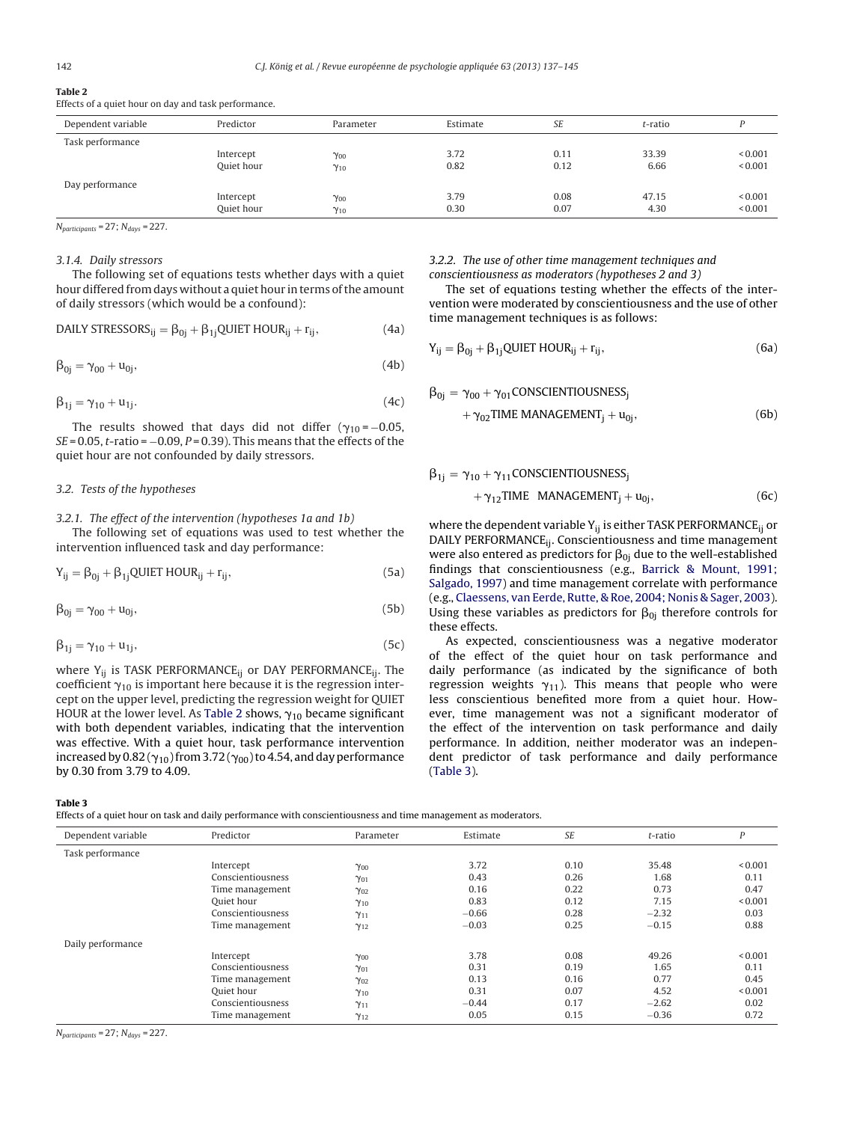| Dependent variable | Predictor  | Parameter     | Estimate | SE   | t-ratio |               |
|--------------------|------------|---------------|----------|------|---------|---------------|
| Task performance   |            |               |          |      |         |               |
|                    | Intercept  | $\gamma_{00}$ | 3.72     | 0.11 | 33.39   | ${}_{0.001}$  |
|                    | Quiet hour | $Y_{10}$      | 0.82     | 0.12 | 6.66    | ${}_{<0.001}$ |
| Day performance    |            |               |          |      |         |               |
|                    | Intercept  | $\gamma_{00}$ | 3.79     | 0.08 | 47.15   | < 0.001       |
|                    | Quiet hour | $Y_{10}$      | 0.30     | 0.07 | 4.30    | < 0.001       |
|                    |            |               |          |      |         |               |

 $N_{participants} = 27$ ;  $N_{days} = 227$ .

# 3.1.4. Daily stressors

The following set of equations tests whether days with a quiet hour differed from days without a quiet hour in terms of the amount of daily stressors (which would be a confound):

$$
DAILY STRESSORS_{ij} = \beta_{0j} + \beta_{1j} QUIET HOUR_{ij} + r_{ij},
$$
\n(4a)

$$
\beta_{0j} = \gamma_{00} + u_{0j},\tag{4b}
$$

$$
\beta_{1j} = \gamma_{10} + u_{1j}.\tag{4c}
$$

The results showed that days did not differ ( $\gamma_{10} = -0.05$ ,  $SE = 0.05$ ,  $t$ -ratio =  $-0.09$ ,  $P = 0.39$ ). This means that the effects of the quiet hour are not confounded by daily stressors.

# 3.2. Tests of the hypotheses

# 3.2.1. The effect of the intervention (hypotheses 1a and 1b)

The following set of equations was used to test whether the intervention influenced task and day performance:

$$
Y_{ij} = \beta_{0j} + \beta_{1j} \text{QUIET HOUR}_{ij} + r_{ij},\tag{5a}
$$

$$
\beta_{0j} = \gamma_{00} + u_{0j},\tag{5b}
$$

$$
\beta_{1j} = \gamma_{10} + u_{1j},\tag{5c}
$$

where  $Y_{ij}$  is TASK PERFORMANCE $_{ij}$  or DAY PERFORMANCE $_{ij}$ . The coefficient  $\gamma_{10}$  is important here because it is the regression intercept on the upper level, predicting the regression weight for QUIET HOUR at the lower level. As Table 2 shows,  $\gamma_{10}$  became significant with both dependent variables, indicating that the intervention was effective. With a quiet hour, task performance intervention increased by 0.82 ( $\gamma_{10}$ ) from 3.72 ( $\gamma_{00}$ ) to 4.54, and day performance by 0.30 from 3.79 to 4.09.

**Table 3**

Effects of a quiet hour on task and daily performance with conscientiousness and time management as moderators.

# 3.2.2. The use of other time management techniques and conscientiousness as moderators (hypotheses 2 and 3)

The set of equations testing whether the effects of the intervention were moderated by conscientiousness and the use of other time management techniques is as follows:

$$
Y_{ij} = \beta_{0j} + \beta_{1j} \text{QUIET HOUR}_{ij} + r_{ij},\tag{6a}
$$

$$
\beta_{0j} = \gamma_{00} + \gamma_{01} \text{CONSCIENTIOUSNESS}_{j}
$$
  
+  $\gamma_{02} \text{TIME MANAGEMENT}_{j} + u_{0j},$  (6b)

$$
\beta_{1j} = \gamma_{10} + \gamma_{11} \text{CONSCIENTIOUSNESS}_{j} + \gamma_{12} \text{TIME MANAGENT}_{j} + u_{0j},
$$
 (6c)

where the dependent variable  $Y_{ij}$  is either TASK PERFORMANCE $_{ij}$  or DAILY PERFORMANCE<sub>ij</sub>. Conscientiousness and time management were also entered as predictors for  $\beta_{0j}$  due to the well-established findings that conscientiousness (e.g., [Barrick](#page-7-0) [&](#page-7-0) [Mount,](#page-7-0) [1991;](#page-7-0) [Salgado,](#page-7-0) [1997\)](#page-7-0) and time management correlate with performance (e.g., [Claessens,](#page-7-0) [van](#page-7-0) [Eerde,](#page-7-0) [Rutte,](#page-7-0) [&](#page-7-0) [Roe,](#page-7-0) [2004;](#page-7-0) [Nonis](#page-7-0) [&](#page-7-0) [Sager,](#page-7-0) [2003\).](#page-7-0) Using these variables as predictors for  $\beta_{0j}$  therefore controls for these effects.

As expected, conscientiousness was a negative moderator of the effect of the quiet hour on task performance and daily performance (as indicated by the significance of both regression weights  $\gamma_{11}$ ). This means that people who were less conscientious benefited more from a quiet hour. However, time management was not a significant moderator of the effect of the intervention on task performance and daily performance. In addition, neither moderator was an independent predictor of task performance and daily performance (Table 3).

| Dependent variable | Predictor         | Parameter     | Estimate | <b>SE</b> | $t$ -ratio | P            |
|--------------------|-------------------|---------------|----------|-----------|------------|--------------|
| Task performance   |                   |               |          |           |            |              |
|                    | Intercept         | $\gamma_{00}$ | 3.72     | 0.10      | 35.48      | ${}_{0.001}$ |
|                    | Conscientiousness | $\gamma_{01}$ | 0.43     | 0.26      | 1.68       | 0.11         |
|                    | Time management   | $\gamma_{02}$ | 0.16     | 0.22      | 0.73       | 0.47         |
|                    | Quiet hour        | $\gamma_{10}$ | 0.83     | 0.12      | 7.15       | ${}_{0.001}$ |
|                    | Conscientiousness | $\gamma_{11}$ | $-0.66$  | 0.28      | $-2.32$    | 0.03         |
|                    | Time management   | $\gamma_{12}$ | $-0.03$  | 0.25      | $-0.15$    | 0.88         |
| Daily performance  |                   |               |          |           |            |              |
|                    | Intercept         | $\gamma_{00}$ | 3.78     | 0.08      | 49.26      | < 0.001      |
|                    | Conscientiousness | $\gamma_{01}$ | 0.31     | 0.19      | 1.65       | 0.11         |
|                    | Time management   | $\gamma_{02}$ | 0.13     | 0.16      | 0.77       | 0.45         |
|                    | Quiet hour        | $\gamma_{10}$ | 0.31     | 0.07      | 4.52       | ${}_{0.001}$ |
|                    | Conscientiousness | $\gamma_{11}$ | $-0.44$  | 0.17      | $-2.62$    | 0.02         |
|                    | Time management   | $Y_{12}$      | 0.05     | 0.15      | $-0.36$    | 0.72         |

 $N_{participants} = 27$ ;  $N_{days} = 227$ .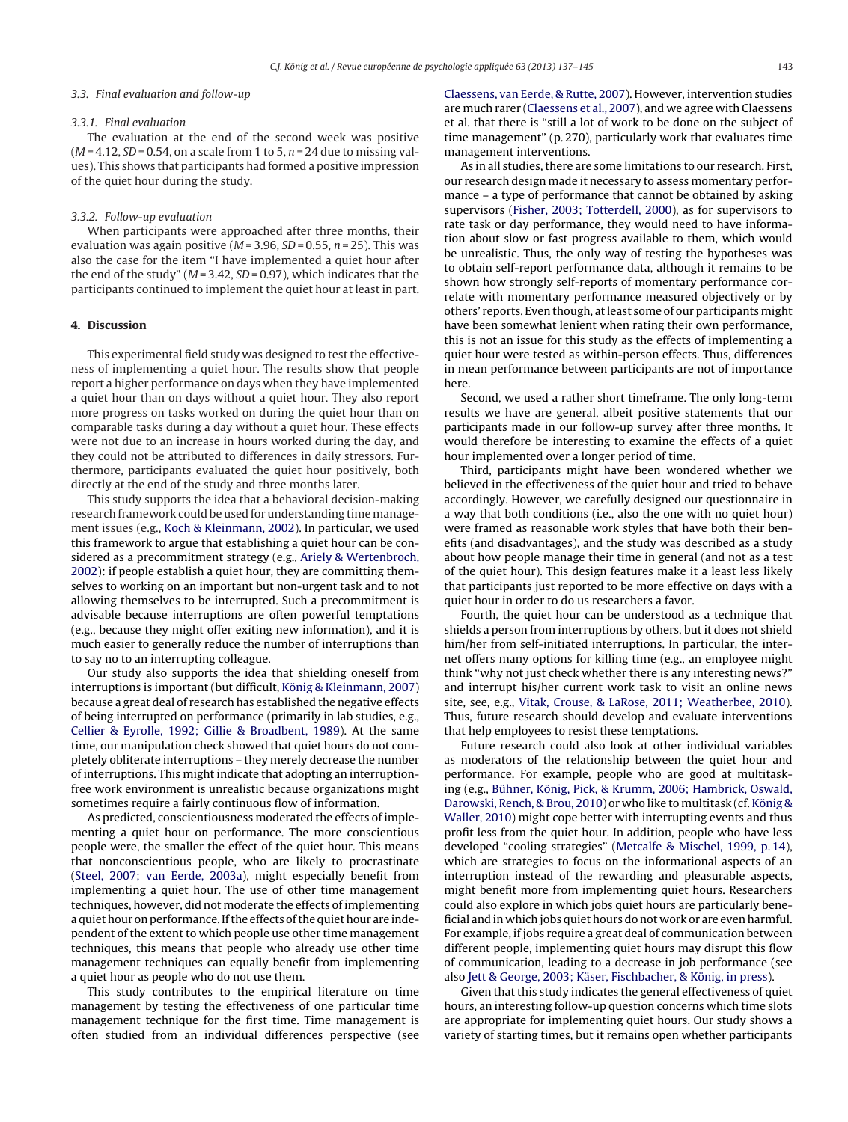#### 3.3. Final evaluation and follow-up

#### 3.3.1. Final evaluation

The evaluation at the end of the second week was positive  $(M = 4.12, SD = 0.54, on a scale from 1 to 5, n = 24 due to missing val$ ues). This shows that participants had formed a positive impression of the quiet hour during the study.

#### 3.3.2. Follow-up evaluation

When participants were approached after three months, their evaluation was again positive ( $M = 3.96$ ,  $SD = 0.55$ ,  $n = 25$ ). This was also the case for the item "I have implemented a quiet hour after the end of the study" ( $M = 3.42$ ,  $SD = 0.97$ ), which indicates that the participants continued to implement the quiet hour at least in part.

# **4. Discussion**

This experimental field study was designed to test the effectiveness of implementing a quiet hour. The results show that people report a higher performance on days when they have implemented a quiet hour than on days without a quiet hour. They also report more progress on tasks worked on during the quiet hour than on comparable tasks during a day without a quiet hour. These effects were not due to an increase in hours worked during the day, and they could not be attributed to differences in daily stressors. Furthermore, participants evaluated the quiet hour positively, both directly at the end of the study and three months later.

This study supports the idea that a behavioral decision-making research framework could be used for understanding time management issues (e.g., [Koch](#page-7-0) [&](#page-7-0) [Kleinmann,](#page-7-0) [2002\).](#page-7-0) In particular, we used this framework to argue that establishing a quiet hour can be considered as a precommitment strategy (e.g., [Ariely](#page-7-0) [&](#page-7-0) [Wertenbroch,](#page-7-0) [2002\):](#page-7-0) if people establish a quiet hour, they are committing themselves to working on an important but non-urgent task and to not allowing themselves to be interrupted. Such a precommitment is advisable because interruptions are often powerful temptations (e.g., because they might offer exiting new information), and it is much easier to generally reduce the number of interruptions than to say no to an interrupting colleague.

Our study also supports the idea that shielding oneself from interruptions is important (but difficult, [König](#page-7-0) [&](#page-7-0) [Kleinmann,](#page-7-0) [2007\)](#page-7-0) because a great deal of research has established the negative effects of being interrupted on performance (primarily in lab studies, e.g., [Cellier](#page-7-0) [&](#page-7-0) [Eyrolle,](#page-7-0) [1992;](#page-7-0) [Gillie](#page-7-0) [&](#page-7-0) [Broadbent,](#page-7-0) [1989\).](#page-7-0) At the same time, our manipulation check showed that quiet hours do not completely obliterate interruptions – they merely decrease the number of interruptions. This might indicate that adopting an interruptionfree work environment is unrealistic because organizations might sometimes require a fairly continuous flow of information.

As predicted, conscientiousness moderated the effects of implementing a quiet hour on performance. The more conscientious people were, the smaller the effect of the quiet hour. This means that nonconscientious people, who are likely to procrastinate ([Steel,](#page-8-0) [2007;](#page-8-0) [van](#page-8-0) [Eerde,](#page-8-0) [2003a\),](#page-8-0) might especially benefit from implementing a quiet hour. The use of other time management techniques, however, did not moderate the effects of implementing a quiet hour on performance. If the effects of the quiet hour are independent of the extent to which people use other time management techniques, this means that people who already use other time management techniques can equally benefit from implementing a quiet hour as people who do not use them.

This study contributes to the empirical literature on time management by testing the effectiveness of one particular time management technique for the first time. Time management is often studied from an individual differences perspective (see [Claessens,](#page-7-0) [van](#page-7-0) [Eerde,](#page-7-0) [&](#page-7-0) [Rutte,](#page-7-0) [2007\).](#page-7-0) However, intervention studies are much rarer [\(Claessens](#page-7-0) et [al.,](#page-7-0) [2007\),](#page-7-0) and we agree with Claessens et al. that there is "still a lot of work to be done on the subject of time management" (p. 270), particularly work that evaluates time management interventions.

As in all studies, there are some limitations to our research. First, our research design made it necessary to assess momentary performance – a type of performance that cannot be obtained by asking supervisors [\(Fisher,](#page-7-0) [2003;](#page-7-0) [Totterdell,](#page-7-0) [2000\),](#page-7-0) as for supervisors to rate task or day performance, they would need to have information about slow or fast progress available to them, which would be unrealistic. Thus, the only way of testing the hypotheses was to obtain self-report performance data, although it remains to be shown how strongly self-reports of momentary performance correlate with momentary performance measured objectively or by others' reports. Even though, atleast some of our participants might have been somewhat lenient when rating their own performance, this is not an issue for this study as the effects of implementing a quiet hour were tested as within-person effects. Thus, differences in mean performance between participants are not of importance here.

Second, we used a rather short timeframe. The only long-term results we have are general, albeit positive statements that our participants made in our follow-up survey after three months. It would therefore be interesting to examine the effects of a quiet hour implemented over a longer period of time.

Third, participants might have been wondered whether we believed in the effectiveness of the quiet hour and tried to behave accordingly. However, we carefully designed our questionnaire in a way that both conditions (i.e., also the one with no quiet hour) were framed as reasonable work styles that have both their benefits (and disadvantages), and the study was described as a study about how people manage their time in general (and not as a test of the quiet hour). This design features make it a least less likely that participants just reported to be more effective on days with a quiet hour in order to do us researchers a favor.

Fourth, the quiet hour can be understood as a technique that shields a person from interruptions by others, but it does not shield him/her from self-initiated interruptions. In particular, the internet offers many options for killing time (e.g., an employee might think "why not just check whether there is any interesting news?" and interrupt his/her current work task to visit an online news site, see, e.g., [Vitak,](#page-8-0) [Crouse,](#page-8-0) [&](#page-8-0) [LaRose,](#page-8-0) [2011;](#page-8-0) [Weatherbee,](#page-8-0) [2010\).](#page-8-0) Thus, future research should develop and evaluate interventions that help employees to resist these temptations.

Future research could also look at other individual variables as moderators of the relationship between the quiet hour and performance. For example, people who are good at multitasking (e.g., [Bühner,](#page-7-0) [König,](#page-7-0) [Pick,](#page-7-0) [&](#page-7-0) [Krumm,](#page-7-0) [2006;](#page-7-0) [Hambrick,](#page-7-0) [Oswald,](#page-7-0) [Darowski,](#page-7-0) [Rench,](#page-7-0) [&](#page-7-0) [Brou,](#page-7-0) [2010\)](#page-7-0) or who like to multitask (cf. [König](#page-7-0) [&](#page-7-0) [Waller,](#page-7-0) [2010\)](#page-7-0) might cope better with interrupting events and thus profit less from the quiet hour. In addition, people who have less developed "cooling strategies" [\(Metcalfe](#page-7-0) [&](#page-7-0) [Mischel,](#page-7-0) [1999,](#page-7-0) p. [14\),](#page-7-0) which are strategies to focus on the informational aspects of an interruption instead of the rewarding and pleasurable aspects, might benefit more from implementing quiet hours. Researchers could also explore in which jobs quiet hours are particularly beneficial and in which jobs quiet hours do not work or are even harmful. For example, if jobs require a great deal of communication between different people, implementing quiet hours may disrupt this flow of communication, leading to a decrease in job performance (see also [Jett](#page-7-0) [&](#page-7-0) [George,](#page-7-0) [2003;](#page-7-0) [Käser,](#page-7-0) [Fischbacher,](#page-7-0) [&](#page-7-0) [König,](#page-7-0) [in](#page-7-0) [press\).](#page-7-0)

Given that this study indicates the general effectiveness of quiet hours, an interesting follow-up question concerns which time slots are appropriate for implementing quiet hours. Our study shows a variety of starting times, but it remains open whether participants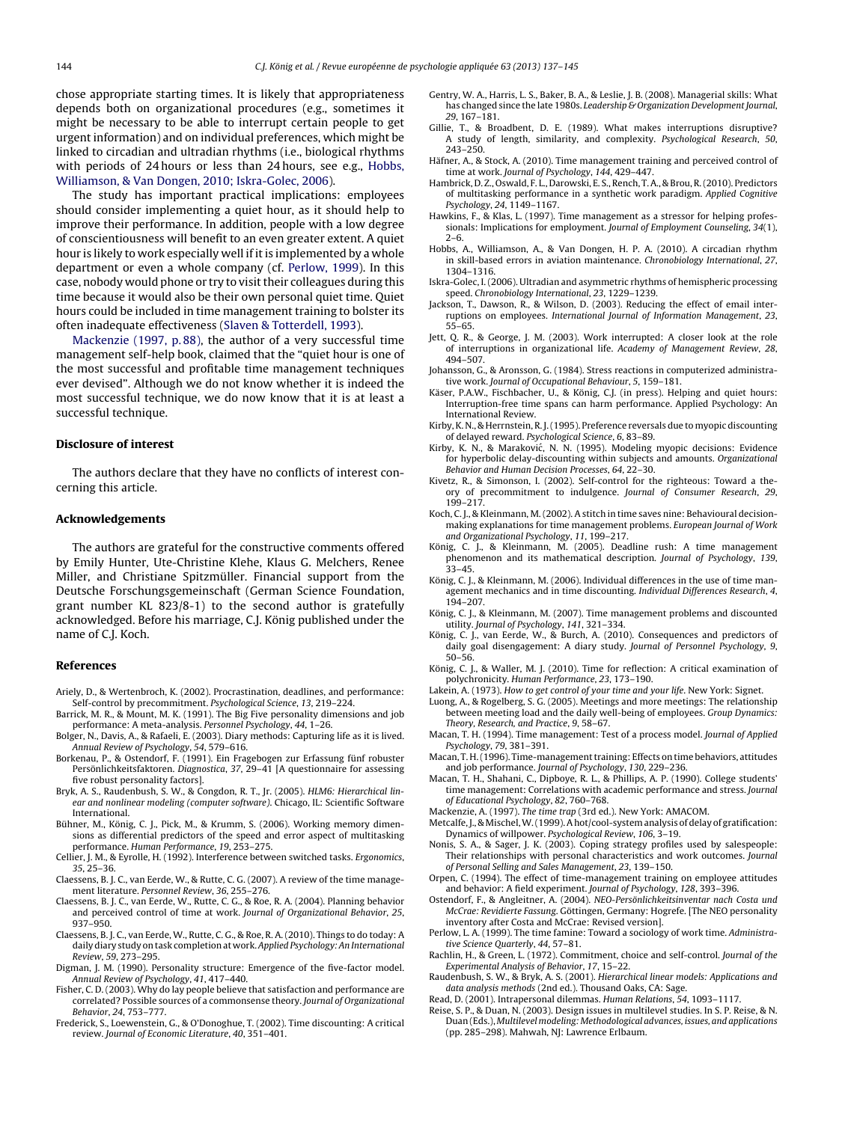<span id="page-7-0"></span>chose appropriate starting times. It is likely that appropriateness depends both on organizational procedures (e.g., sometimes it might be necessary to be able to interrupt certain people to get urgent information) and on individual preferences, which might be linked to circadian and ultradian rhythms (i.e., biological rhythms with periods of 24 hours or less than 24 hours, see e.g., Hobbs, Williamson, & Van Dongen, 2010; Iskra-Golec, 2006).

The study has important practical implications: employees should consider implementing a quiet hour, as it should help to improve their performance. In addition, people with a low degree of conscientiousness will benefit to an even greater extent. A quiet hour is likely to work especially well if it is implemented by a whole department or even a whole company (cf. Perlow, 1999). In this case, nobody would phone or try to visit their colleagues during this time because it would also be their own personal quiet time. Quiet hours could be included in time management training to bolster its often inadequate effectiveness [\(Slaven](#page-8-0) [&](#page-8-0) [Totterdell,](#page-8-0) [1993\).](#page-8-0)

Mackenzie (1997, p. 88), the author of a very successful time management self-help book, claimed that the "quiet hour is one of the most successful and profitable time management techniques ever devised". Although we do not know whether it is indeed the most successful technique, we do now know that it is at least a successful technique.

#### **Disclosure of interest**

The authors declare that they have no conflicts of interest concerning this article.

#### **Acknowledgements**

The authors are grateful for the constructive comments offered by Emily Hunter, Ute-Christine Klehe, Klaus G. Melchers, Renee Miller, and Christiane Spitzmüller. Financial support from the Deutsche Forschungsgemeinschaft (German Science Foundation, grant number KL 823/8-1) to the second author is gratefully acknowledged. Before his marriage, C.J. König published under the name of C.J. Koch.

#### **References**

- Ariely, D., & Wertenbroch, K. (2002). Procrastination, deadlines, and performance: Self-control by precommitment. Psychological Science, 13, 219–224.
- Barrick, M. R., & Mount, M. K. (1991). The Big Five personality dimensions and job performance: A meta-analysis. Personnel Psychology, 44, 1–26.
- Bolger, N., Davis, A., & Rafaeli, E. (2003). Diary methods: Capturing life as it is lived. Annual Review of Psychology, 54, 579–616.
- Borkenau, P., & Ostendorf, F. (1991). Ein Fragebogen zur Erfassung fünf robuster Persönlichkeitsfaktoren. Diagnostica, 37, 29-41 [A questionnaire for assessing five robust personality factors].
- Bryk, A. S., Raudenbush, S. W., & Congdon, R. T., Jr. (2005). HLM6: Hierarchical linear and nonlinear modeling (computer software). Chicago, IL: Scientific Software International.
- Bühner, M., König, C. J., Pick, M., & Krumm, S. (2006). Working memory dimensions as differential predictors of the speed and error aspect of multitasking performance. Human Performance, 19, 253–275.
- Cellier, J. M., & Eyrolle, H. (1992). Interference between switched tasks. Ergonomics, 35, 25–36.
- Claessens, B. J. C., van Eerde, W., & Rutte, C. G. (2007). A review of the time management literature. Personnel Review, 36, 255–276.
- Claessens, B. J. C., van Eerde, W., Rutte, C. G., & Roe, R. A. (2004). Planning behavior and perceived control of time at work. Journal of Organizational Behavior, 25, 937–950.
- Claessens, B. J. C., van Eerde, W., Rutte, C. G., & Roe, R. A. (2010). Things to do today: A daily diary study on task completion at work. Applied Psychology: An International Review, 59, 273–295.
- Digman, J. M. (1990). Personality structure: Emergence of the five-factor model. Annual Review of Psychology, 41, 417–440.
- Fisher, C. D. (2003). Why do lay people believe that satisfaction and performance are correlated? Possible sources of a commonsense theory. Journal of Organizational Behavior, 24, 753–777.
- Frederick, S., Loewenstein, G., & O'Donoghue, T. (2002). Time discounting: A critical review. Journal of Economic Literature, 40, 351–401.
- Gentry, W. A., Harris, L. S., Baker, B. A., & Leslie, J. B. (2008). Managerial skills: What has changed since the late 1980s. Leadership & Organization Development Journal, 29, 167–181.
- Gillie, T., & Broadbent, D. E. (1989). What makes interruptions disruptive? A study of length, similarity, and complexity. Psychological Research, 50, 243–250.
- Häfner, A., & Stock, A. (2010). Time management training and perceived control of time at work. Journal of Psychology, 144, 429–447.
- Hambrick, D. Z., Oswald, F. L., Darowski, E. S., Rench, T.A., & Brou, R.(2010). Predictors of multitasking performance in a synthetic work paradigm. Applied Cognitive Psychology, 24, 1149–1167.
- Hawkins, F., & Klas, L. (1997). Time management as a stressor for helping professionals: Implications for employment. Journal of Employment Counseling, 34(1), 2–6.
- Hobbs, A., Williamson, A., & Van Dongen, H. P. A. (2010). A circadian rhythm in skill-based errors in aviation maintenance. Chronobiology International, 27, 1304–1316.
- Iskra-Golec, I. (2006). Ultradian and asymmetric rhythms of hemispheric processing speed. Chronobiology International, 23, 1229–1239.
- Jackson, T., Dawson, R., & Wilson, D. (2003). Reducing the effect of email interruptions on employees. International Journal of Information Management, 23, 55–65.
- Jett, Q. R., & George, J. M. (2003). Work interrupted: A closer look at the role of interruptions in organizational life. Academy of Management Review, 28, 494–507.
- Johansson, G., & Aronsson, G. (1984). Stress reactions in computerized administrative work. Journal of Occupational Behaviour, 5, 159–181.
- Käser, P.A.W., Fischbacher, U., & König, C.J. (in press). Helping and quiet hours: Interruption-free time spans can harm performance. Applied Psychology: An International Review.
- Kirby,K. N., & Herrnstein, R. J.(1995). Preference reversals due to myopic discounting of delayed reward. Psychological Science, 6, 83–89.
- Kirby, K. N., & Maraković, N. N. (1995). Modeling myopic decisions: Evidence for hyperbolic delay-discounting within subjects and amounts. Organizational Behavior and Human Decision Processes, 64, 22–30.
- Kivetz, R., & Simonson, I. (2002). Self-control for the righteous: Toward a theory of precommitment to indulgence. Journal of Consumer Research, 29, 199–217.
- Koch, C. J., & Kleinmann, M.(2002). A stitch in time saves nine: Behavioural decisionmaking explanations for time management problems. European Journal of Work and Organizational Psychology, 11, 199–217.
- König, C. J., & Kleinmann, M. (2005). Deadline rush: A time management phenomenon and its mathematical description. Journal of Psychology, 139, 33–45.
- König, C. J., & Kleinmann, M. (2006). Individual differences in the use of time management mechanics and in time discounting. Individual Differences Research, 4, 194–207.
- König, C. J., & Kleinmann, M. (2007). Time management problems and discounted utility. Journal of Psychology, 141, 321–334.
- König, C. J., van Eerde, W., & Burch, A. (2010). Consequences and predictors of daily goal disengagement: A diary study. Journal of Personnel Psychology, 9, 50–56.
- König, C. J., & Waller, M. J. (2010). Time for reflection: A critical examination of polychronicity. Human Performance, 23, 173–190.
- Lakein, A. (1973). How to get control of your time and your life. New York: Signet.
- Luong, A., & Rogelberg, S. G. (2005). Meetings and more meetings: The relationship between meeting load and the daily well-being of employees. Group Dynamics: Theory, Research, and Practice, 9, 58–67.
- Macan, T. H. (1994). Time management: Test of a process model. Journal of Applied Psychology, 79, 381–391.
- Macan, T.H. (1996). Time-management training: Effects on time behaviors, attitudes and job performance. Journal of Psychology, 130, 229–236.
- Macan, T. H., Shahani, C., Dipboye, R. L., & Phillips, A. P. (1990). College students' time management: Correlations with academic performance and stress. Journal of Educational Psychology, 82, 760–768.
- Mackenzie, A. (1997). The time trap (3rd ed.). New York: AMACOM.

Metcalfe,J., &Mischel,W.(1999).Ahot/cool-systemanalysis ofdelay of gratification: Dynamics of willpower. Psychological Review, 106, 3–19.

- Nonis, S. A., & Sager, J. K. (2003). Coping strategy profiles used by salespeople: Their relationships with personal characteristics and work outcomes. Journal of Personal Selling and Sales Management, 23, 139–150.
- Orpen, C. (1994). The effect of time-management training on employee attitudes and behavior: A field experiment. Journal of Psychology, 128, 393–396.
- Ostendorf, F., & Angleitner, A. (2004). NEO-Persönlichkeitsinventar nach Costa und McCrae: Revidierte Fassung. Göttingen, Germany: Hogrefe. [The NEO personality inventory after Costa and McCrae: Revised version].
- Perlow, L. A. (1999). The time famine: Toward a sociology of work time. Administrative Science Quarterly, 44, 57–81.
- Rachlin, H., & Green, L. (1972). Commitment, choice and self-control. Journal of the Experimental Analysis of Behavior, 17, 15–22.
- Raudenbush, S. W., & Bryk, A. S. (2001). Hierarchical linear models: Applications and data analysis methods (2nd ed.). Thousand Oaks, CA: Sage.
- Read, D. (2001). Intrapersonal dilemmas. Human Relations, 54, 1093–1117.
- Reise, S. P., & Duan, N. (2003). Design issues in multilevel studies. In S. P. Reise, & N. Duan (Eds.), Multilevel modeling: Methodological advances, issues, and applications (pp. 285–298). Mahwah, NJ: Lawrence Erlbaum.